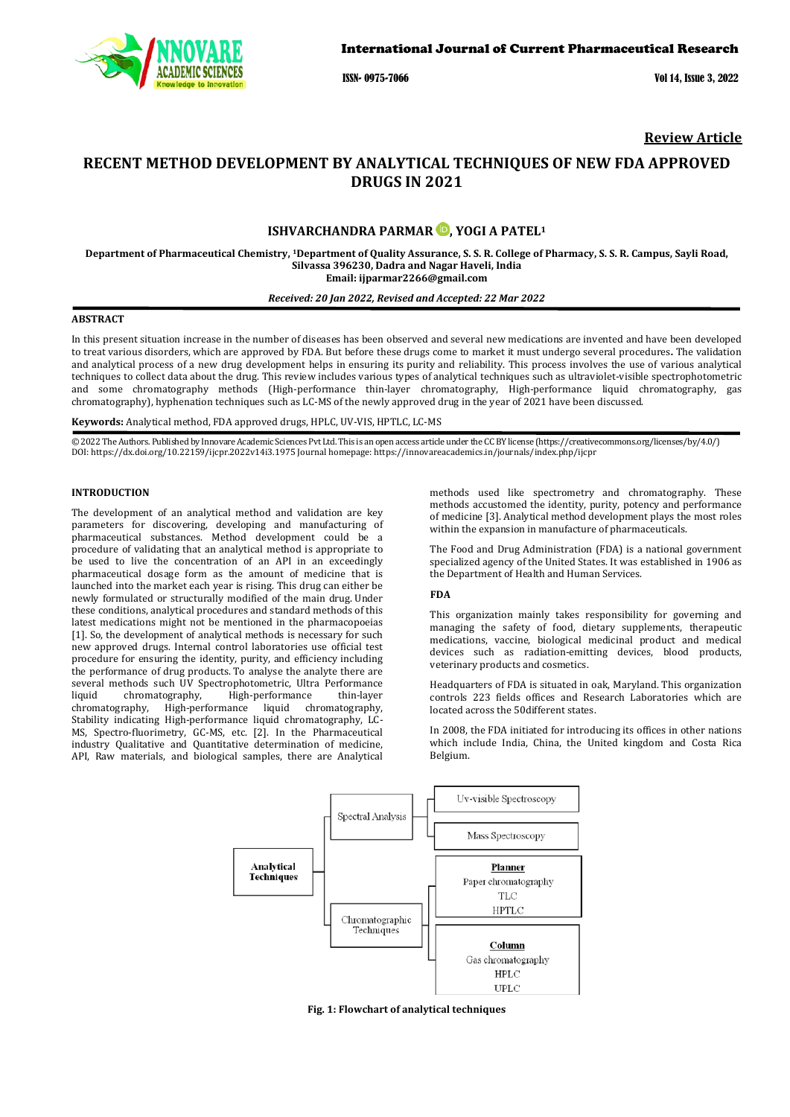

ISSN- 0975-7066 Vol 14, Issue 3, 2022

# **Review Article**

# **RECENT METHOD DEVELOPMENT BY ANALYTICAL TECHNIQUES OF NEW FDA APPROVED DRUGS IN 2021**

# **ISHVARCHANDRA PARMAR , YOGI A PATEL1**

**Department of Pharmaceutical Chemistry, 1Department of Quality Assurance, S. S. R. College of Pharmacy, S. S. R. Campus, Sayli Road, Silvassa 396230, Dadra and Nagar Haveli, India Email[: ijparmar2266@gmail.com](mailto:ijparmar2266@gmail.com)**

#### *Received: 20 Jan 2022, Revised and Accepted: 22 Mar 2022*

## **ABSTRACT**

In this present situation increase in the number of diseases has been observed and several new medications are invented and have been developed to treat various disorders, which are approved by FDA. But before these drugs come to market it must undergo several procedures**.** The validation and analytical process of a new drug development helps in ensuring its purity and reliability. This process involves the use of various analytical techniques to collect data about the drug. This review includes various types of analytical techniques such as ultraviolet-visible spectrophotometric and some chromatography methods (High-performance thin-layer chromatography, High-performance liquid chromatography, gas chromatography), hyphenation techniques such as LC-MS of the newly approved drug in the year of 2021 have been discussed.

**Keywords:** Analytical method, FDA approved drugs, HPLC, UV-VIS, HPTLC, LC-MS

© 2022 The Authors. Published by Innovare Academic Sciences Pvt Ltd. This is an open access article under the CC BY license [\(https://creativecommons.org/licenses/by/4.0/\)](https://creativecommons.org/licenses/by/4.0/) DOI[: https://dx.doi.org/10.22159/ijcpr.2022v14i3.1](https://dx.doi.org/10.22159/ijcpr.2022v14i3)975 Journal homepage[: https://innovareacademics.in/journals/index.php/ijcpr](https://innovareacademics.in/journals/index.php/ijcpr)

#### **INTRODUCTION**

The development of an analytical method and validation are key parameters for discovering, developing and manufacturing of pharmaceutical substances. Method development could be a procedure of validating that an analytical method is appropriate to be used to live the concentration of an API in an exceedingly pharmaceutical dosage form as the amount of medicine that is launched into the market each year is rising. This drug can either be newly formulated or structurally modified of the main drug. Under these conditions, analytical procedures and standard methods of this latest medications might not be mentioned in the pharmacopoeias [1]. So, the development of analytical methods is necessary for such new approved drugs. Internal control laboratories use official test procedure for ensuring the identity, purity, and efficiency including the performance of drug products. To analyse the analyte there are several methods such UV Spectrophotometric, Ultra Performance<br>liquid chromatography, High-performance thin-layer liquid chromatography, High-performance thin-layer chromatography, High-performance liquid chromatography, Stability indicating High-performance liquid chromatography, LC-MS, Spectro-fluorimetry, GC-MS, etc. [2]. In the Pharmaceutical industry Qualitative and Quantitative determination of medicine, API, Raw materials, and biological samples, there are Analytical

methods used like spectrometry and chromatography. These methods accustomed the identity, purity, potency and performance of medicine [3]. Analytical method development plays the most roles within the expansion in manufacture of pharmaceuticals.

The Food and Drug Administration (FDA) is a national government specialized agency of the United States. It was established in 1906 as the Department of Health and Human Services.

#### **FDA**

This organization mainly takes responsibility for governing and managing the safety of food, dietary supplements, therapeutic medications, vaccine, biological medicinal product and medical devices such as radiation-emitting devices, blood products, veterinary products and cosmetics.

Headquarters of FDA is situated in oak, Maryland. This organization controls 223 fields offices and Research Laboratories which are located across the 50different states.

In 2008, the FDA initiated for introducing its offices in other nations which include India, China, the United kingdom and Costa Rica Belgium.



**Fig. 1: Flowchart of analytical techniques**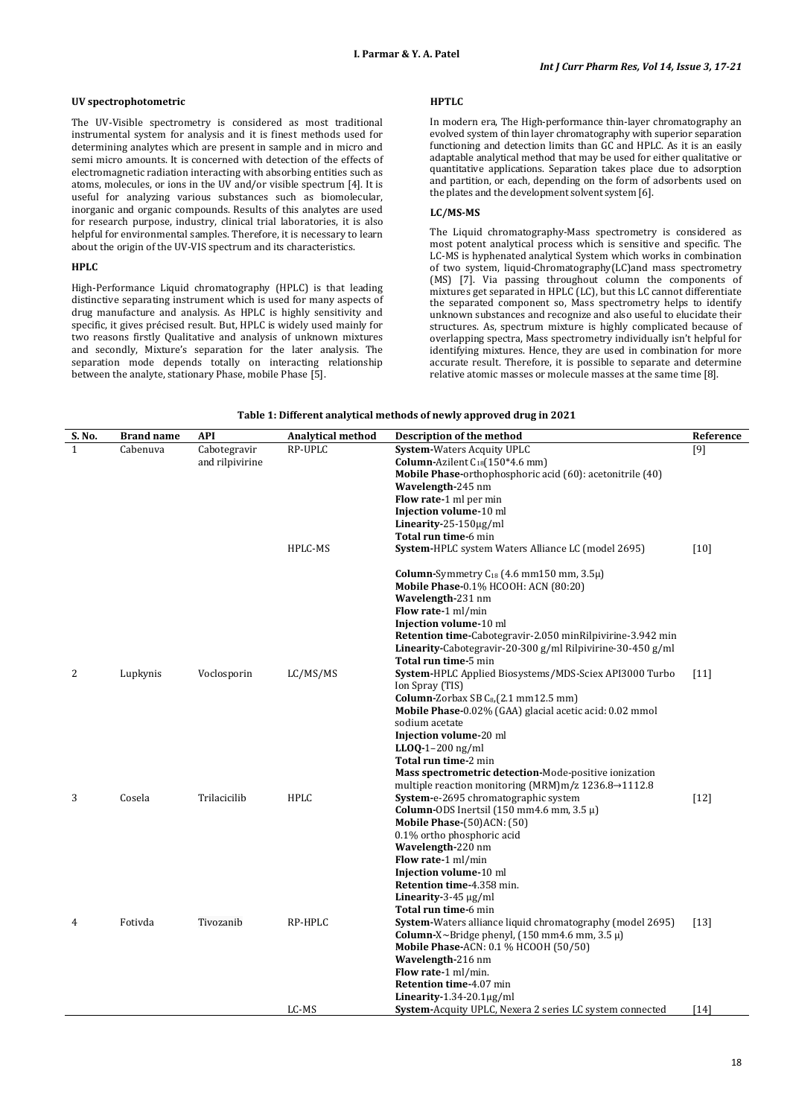#### **UV spectrophotometric**

The UV-Visible spectrometry is considered as most traditional instrumental system for analysis and it is finest methods used for determining analytes which are present in sample and in micro and semi micro amounts. It is concerned with detection of the effects of electromagnetic radiation interacting with absorbing entities such as atoms, molecules, or ions in the UV and/or visible spectrum [4]. It is useful for analyzing various substances such as biomolecular, inorganic and organic compounds. Results of this analytes are used for research purpose, industry, clinical trial laboratories, it is also helpful for environmental samples. Therefore, it is necessary to learn about the origin of the UV-VIS spectrum and its characteristics.

## **HPLC**

High-Performance Liquid chromatography (HPLC) is that leading distinctive separating instrument which is used for many aspects of drug manufacture and analysis. As HPLC is highly sensitivity and specific, it gives précised result. But, HPLC is widely used mainly for two reasons firstly Qualitative and analysis of unknown mixtures and secondly, Mixture's separation for the later analysis. The separation mode depends totally on interacting relationship between the analyte, stationary Phase, mobile Phase [5].

#### **HPTLC**

In modern era, The High-performance thin-layer chromatography an evolved system of thin layer chromatography with superior separation functioning and detection limits than GC and HPLC. As it is an easily adaptable analytical method that may be used for either qualitative or quantitative applications. Separation takes place due to adsorption and partition, or each, depending on the form of adsorbents used on the plates and the development solvent system [6].

# **LC/MS-MS**

The Liquid chromatography-Mass spectrometry is considered as most potent analytical process which is sensitive and specific. The LC-MS is hyphenated analytical System which works in combination of two system, liquid-Chromatography(LC)and mass spectrometry (MS) [7]. Via passing throughout column the components of mixtures get separated in HPLC (LC), but this LC cannot differentiate the separated component so, Mass spectrometry helps to identify unknown substances and recognize and also useful to elucidate their structures. As, spectrum mixture is highly complicated because of overlapping spectra, Mass spectrometry individually isn't helpful for identifying mixtures. Hence, they are used in combination for more accurate result. Therefore, it is possible to separate and determine relative atomic masses or molecule masses at the same time [8].

| S. No. | <b>Brand name</b> | API             | <b>Analytical method</b> | Description of the method                                            | Reference |
|--------|-------------------|-----------------|--------------------------|----------------------------------------------------------------------|-----------|
| 1      | Cabenuva          | Cabotegravir    | RP-UPLC                  | <b>System-Waters Acquity UPLC</b>                                    | [9]       |
|        |                   | and rilpivirine |                          | <b>Column-Azilent C</b> <sub>18</sub> $(150*4.6$ mm)                 |           |
|        |                   |                 |                          | <b>Mobile Phase-orthophosphoric acid (60): acetonitrile (40)</b>     |           |
|        |                   |                 |                          | Wavelength-245 nm                                                    |           |
|        |                   |                 |                          | <b>Flow rate-1</b> ml per min                                        |           |
|        |                   |                 |                          | Injection volume-10 ml                                               |           |
|        |                   |                 |                          | Linearity-25-150 $\mu$ g/ml                                          |           |
|        |                   |                 |                          | Total run time-6 min                                                 |           |
|        |                   |                 | HPLC-MS                  | <b>System-HPLC</b> system Waters Alliance LC (model 2695)            | $[10]$    |
|        |                   |                 |                          | Column-Symmetry $C_{18}$ (4.6 mm150 mm, 3.5 $\mu$ )                  |           |
|        |                   |                 |                          | Mobile Phase-0.1% HCOOH: ACN (80:20)                                 |           |
|        |                   |                 |                          | Wavelength-231 nm                                                    |           |
|        |                   |                 |                          | Flow rate-1 ml/min                                                   |           |
|        |                   |                 |                          | Injection volume-10 ml                                               |           |
|        |                   |                 |                          | Retention time-Cabotegravir-2.050 minRilpivirine-3.942 min           |           |
|        |                   |                 |                          | Linearity-Cabotegravir-20-300 g/ml Rilpivirine-30-450 g/ml           |           |
|        |                   |                 |                          | Total run time-5 min                                                 |           |
| 2      | Lupkynis          | Voclosporin     | LC/MS/MS                 | System-HPLC Applied Biosystems/MDS-Sciex API3000 Turbo               | $[11]$    |
|        |                   |                 |                          | Ion Spray (TIS)                                                      |           |
|        |                   |                 |                          | Column-Zorbax SB $C_{8}$ , (2.1 mm12.5 mm)                           |           |
|        |                   |                 |                          | Mobile Phase-0.02% (GAA) glacial acetic acid: 0.02 mmol              |           |
|        |                   |                 |                          | sodium acetate                                                       |           |
|        |                   |                 |                          | Injection volume-20 ml                                               |           |
|        |                   |                 |                          | $LLOQ-1-200$ ng/ml                                                   |           |
|        |                   |                 |                          | Total run time-2 min                                                 |           |
|        |                   |                 |                          | Mass spectrometric detection-Mode-positive ionization                |           |
|        |                   |                 |                          | multiple reaction monitoring (MRM)m/z $1236.8 \rightarrow 1112.8$    |           |
| 3      | Cosela            | Trilacicilib    | <b>HPLC</b>              | System-e-2695 chromatographic system                                 | $[12]$    |
|        |                   |                 |                          | <b>Column-ODS</b> Inertsil $(150 \text{ mm}4.6 \text{ mm}, 3.5 \mu)$ |           |
|        |                   |                 |                          | <b>Mobile Phase-(50)ACN: (50)</b>                                    |           |
|        |                   |                 |                          | 0.1% ortho phosphoric acid                                           |           |
|        |                   |                 |                          | Wavelength-220 nm                                                    |           |
|        |                   |                 |                          | Flow rate-1 ml/min                                                   |           |
|        |                   |                 |                          | Injection volume-10 ml                                               |           |
|        |                   |                 |                          | Retention time-4.358 min.                                            |           |
|        |                   |                 |                          | Linearity-3-45 $\mu$ g/ml                                            |           |
|        |                   |                 |                          | <b>Total run time-6 min</b>                                          |           |
| 4      | Fotivda           | Tivozanib       | RP-HPLC                  | System-Waters alliance liquid chromatography (model 2695)            | $[13]$    |
|        |                   |                 |                          | Column-X~Bridge phenyl, $(150 \text{ mm}4.6 \text{ mm}, 3.5 \mu)$    |           |
|        |                   |                 |                          | <b>Mobile Phase-ACN: 0.1 % HCOOH (50/50)</b>                         |           |
|        |                   |                 |                          | Wavelength-216 nm                                                    |           |
|        |                   |                 |                          | Flow rate-1 ml/min.                                                  |           |
|        |                   |                 |                          | Retention time-4.07 min                                              |           |
|        |                   |                 |                          | Linearity- $1.34-20.1 \mu g/ml$                                      |           |
|        |                   |                 | LC-MS                    | <b>System-Acquity UPLC, Nexera 2 series LC system connected</b>      | [14]      |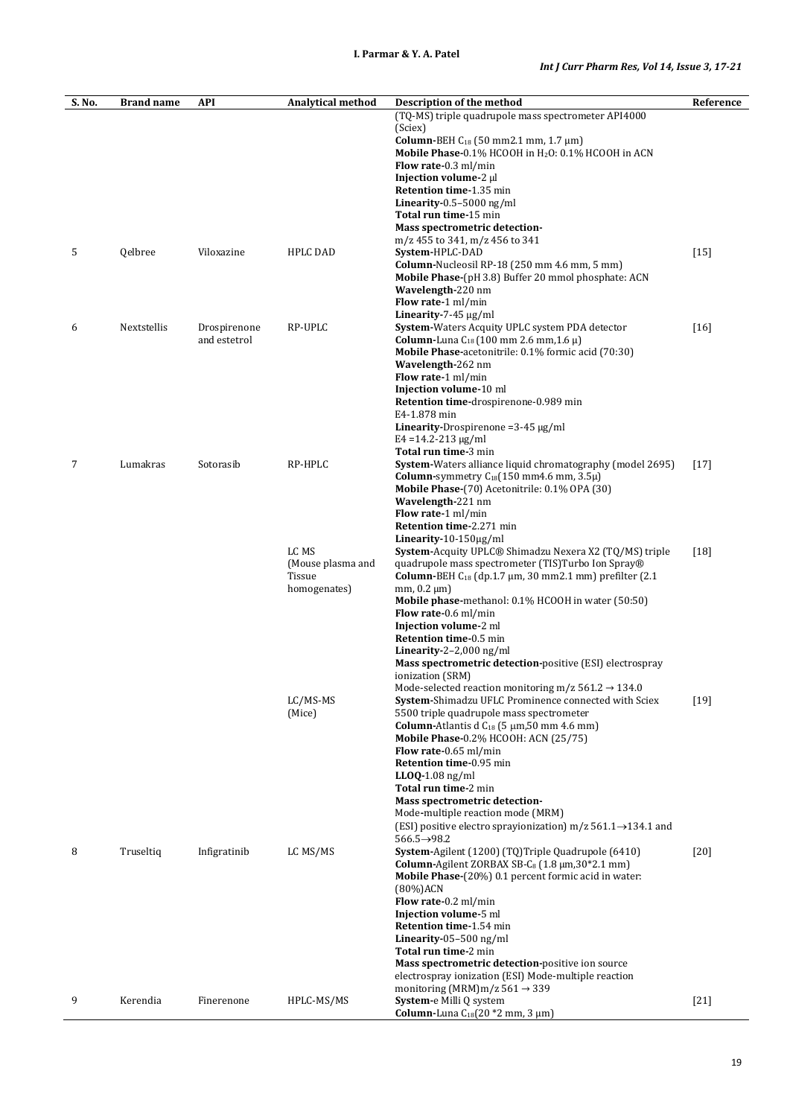| (TQ-MS) triple quadrupole mass spectrometer API4000<br>(Sciex)<br>Column-BEH C <sub>18</sub> (50 mm2.1 mm, 1.7 μm)<br>Mobile Phase-0.1% HCOOH in H <sub>2</sub> O: 0.1% HCOOH in ACN<br>Flow rate-0.3 ml/min<br>Injection volume-2 µl<br>Retention time-1.35 min<br>Linearity-0.5-5000 ng/ml<br>Total run time-15 min<br>Mass spectrometric detection-<br>m/z 455 to 341, m/z 456 to 341<br>5<br>$[15]$<br>Qelbree<br>Viloxazine<br>HPLC DAD<br>System-HPLC-DAD<br>Column-Nucleosil RP-18 (250 mm 4.6 mm, 5 mm)<br>Mobile Phase-(pH 3.8) Buffer 20 mmol phosphate: ACN<br>Wavelength-220 nm<br>Flow rate-1 ml/min<br>Linearity-7-45 $\mu$ g/ml<br>Nextstellis<br>RP-UPLC<br>System-Waters Acquity UPLC system PDA detector<br>$[16]$<br>6<br>Drospirenone<br>and estetrol<br><b>Column-Luna</b> $C_{18}$ (100 mm 2.6 mm, 1.6 $\mu$ )<br>Mobile Phase-acetonitrile: 0.1% formic acid (70:30)<br>Wavelength-262 nm<br>Flow rate-1 ml/min<br>Injection volume-10 ml<br>Retention time-drospirenone-0.989 min<br>E4-1.878 min<br><b>Linearity-Drospirenone</b> = $3-45 \mu g/ml$<br>$E4 = 14.2 - 213 \mu g/ml$<br>Total run time-3 min<br>System-Waters alliance liquid chromatography (model 2695)<br>7<br>Lumakras<br>Sotorasib<br>RP-HPLC<br>$[17]$<br><b>Column-</b> symmetry $C_{18}(150 \text{ mm}4.6 \text{ mm}, 3.5\mu)$<br>Mobile Phase-(70) Acetonitrile: 0.1% OPA (30)<br>Wavelength-221 nm<br>Flow rate-1 ml/min<br>Retention time-2.271 min<br>Linearity- $10-150\mu g/ml$<br>LC MS<br>$[18]$<br><b>System-Acquity UPLC® Shimadzu Nexera X2 (TQ/MS) triple</b><br>(Mouse plasma and<br>quadrupole mass spectrometer (TIS)Turbo Ion Spray®<br>Tissue<br><b>Column-BEH</b> $C_{18}$ (dp.1.7 $\mu$ m, 30 mm2.1 mm) prefilter (2.1)<br>homogenates)<br>$mm, 0.2 \mu m$<br>Mobile phase-methanol: 0.1% HCOOH in water (50:50)<br><b>Flow rate-0.6 ml/min</b><br>Injection volume-2 ml<br>Retention time-0.5 min<br>Linearity-2-2,000 ng/ml<br><b>Mass spectrometric detection-positive (ESI) electrospray</b><br>ionization (SRM)<br>Mode-selected reaction monitoring m/z $561.2 \rightarrow 134.0$<br>LC/MS-MS<br>System-Shimadzu UFLC Prominence connected with Sciex<br>$[19]$<br>(Mice)<br>5500 triple quadrupole mass spectrometer<br>Column-Atlantis d C <sub>18</sub> (5 μm, 50 mm 4.6 mm)<br><b>Mobile Phase-0.2% HCOOH: ACN (25/75)</b><br>Flow rate-0.65 ml/min<br>Retention time-0.95 min<br>$LLOQ-1.08$ ng/ml<br>Total run time-2 min<br>Mass spectrometric detection-<br>Mode-multiple reaction mode (MRM)<br>(ESI) positive electro sprayionization) m/z $561.1 \rightarrow 134.1$ and<br>$566.5 \rightarrow 98.2$<br>8<br>Truseltiq<br>Infigratinib<br>LC MS/MS<br>System-Agilent (1200) (TQ)Triple Quadrupole (6410)<br>$[20]$<br>Column-Agilent ZORBAX SB-C $_8$ (1.8 $\mu$ m, 30*2.1 mm)<br><b>Mobile Phase-</b> (20%) 0.1 percent formic acid in water:<br>$(80\%)$ ACN<br>Flow rate-0.2 ml/min<br>Injection volume-5 ml<br>Retention time-1.54 min<br>Linearity-05-500 ng/ml<br><b>Total run time-2 min</b><br>Mass spectrometric detection-positive ion source<br>electrospray ionization (ESI) Mode-multiple reaction<br>monitoring (MRM)m/z $561 \rightarrow 339$<br>9<br>$[21]$<br>Kerendia<br>HPLC-MS/MS<br>System-e Milli Q system<br>Finerenone<br><b>Column-Luna</b> $C_{18}(20 * 2 \text{ mm}, 3 \text{ µm})$ | S. No. | <b>Brand name</b> | <b>API</b> | <b>Analytical method</b> | Description of the method | Reference |
|-------------------------------------------------------------------------------------------------------------------------------------------------------------------------------------------------------------------------------------------------------------------------------------------------------------------------------------------------------------------------------------------------------------------------------------------------------------------------------------------------------------------------------------------------------------------------------------------------------------------------------------------------------------------------------------------------------------------------------------------------------------------------------------------------------------------------------------------------------------------------------------------------------------------------------------------------------------------------------------------------------------------------------------------------------------------------------------------------------------------------------------------------------------------------------------------------------------------------------------------------------------------------------------------------------------------------------------------------------------------------------------------------------------------------------------------------------------------------------------------------------------------------------------------------------------------------------------------------------------------------------------------------------------------------------------------------------------------------------------------------------------------------------------------------------------------------------------------------------------------------------------------------------------------------------------------------------------------------------------------------------------------------------------------------------------------------------------------------------------------------------------------------------------------------------------------------------------------------------------------------------------------------------------------------------------------------------------------------------------------------------------------------------------------------------------------------------------------------------------------------------------------------------------------------------------------------------------------------------------------------------------------------------------------------------------------------------------------------------------------------------------------------------------------------------------------------------------------------------------------------------------------------------------------------------------------------------------------------------------------------------------------------------------------------------------------------------------------------------------------------------------------------------------------------------------------------------------------------------------------------------------------------------------------------------------------------------------------------|--------|-------------------|------------|--------------------------|---------------------------|-----------|
|                                                                                                                                                                                                                                                                                                                                                                                                                                                                                                                                                                                                                                                                                                                                                                                                                                                                                                                                                                                                                                                                                                                                                                                                                                                                                                                                                                                                                                                                                                                                                                                                                                                                                                                                                                                                                                                                                                                                                                                                                                                                                                                                                                                                                                                                                                                                                                                                                                                                                                                                                                                                                                                                                                                                                                                                                                                                                                                                                                                                                                                                                                                                                                                                                                                                                                                                                 |        |                   |            |                          |                           |           |
|                                                                                                                                                                                                                                                                                                                                                                                                                                                                                                                                                                                                                                                                                                                                                                                                                                                                                                                                                                                                                                                                                                                                                                                                                                                                                                                                                                                                                                                                                                                                                                                                                                                                                                                                                                                                                                                                                                                                                                                                                                                                                                                                                                                                                                                                                                                                                                                                                                                                                                                                                                                                                                                                                                                                                                                                                                                                                                                                                                                                                                                                                                                                                                                                                                                                                                                                                 |        |                   |            |                          |                           |           |
|                                                                                                                                                                                                                                                                                                                                                                                                                                                                                                                                                                                                                                                                                                                                                                                                                                                                                                                                                                                                                                                                                                                                                                                                                                                                                                                                                                                                                                                                                                                                                                                                                                                                                                                                                                                                                                                                                                                                                                                                                                                                                                                                                                                                                                                                                                                                                                                                                                                                                                                                                                                                                                                                                                                                                                                                                                                                                                                                                                                                                                                                                                                                                                                                                                                                                                                                                 |        |                   |            |                          |                           |           |
|                                                                                                                                                                                                                                                                                                                                                                                                                                                                                                                                                                                                                                                                                                                                                                                                                                                                                                                                                                                                                                                                                                                                                                                                                                                                                                                                                                                                                                                                                                                                                                                                                                                                                                                                                                                                                                                                                                                                                                                                                                                                                                                                                                                                                                                                                                                                                                                                                                                                                                                                                                                                                                                                                                                                                                                                                                                                                                                                                                                                                                                                                                                                                                                                                                                                                                                                                 |        |                   |            |                          |                           |           |
|                                                                                                                                                                                                                                                                                                                                                                                                                                                                                                                                                                                                                                                                                                                                                                                                                                                                                                                                                                                                                                                                                                                                                                                                                                                                                                                                                                                                                                                                                                                                                                                                                                                                                                                                                                                                                                                                                                                                                                                                                                                                                                                                                                                                                                                                                                                                                                                                                                                                                                                                                                                                                                                                                                                                                                                                                                                                                                                                                                                                                                                                                                                                                                                                                                                                                                                                                 |        |                   |            |                          |                           |           |
|                                                                                                                                                                                                                                                                                                                                                                                                                                                                                                                                                                                                                                                                                                                                                                                                                                                                                                                                                                                                                                                                                                                                                                                                                                                                                                                                                                                                                                                                                                                                                                                                                                                                                                                                                                                                                                                                                                                                                                                                                                                                                                                                                                                                                                                                                                                                                                                                                                                                                                                                                                                                                                                                                                                                                                                                                                                                                                                                                                                                                                                                                                                                                                                                                                                                                                                                                 |        |                   |            |                          |                           |           |
|                                                                                                                                                                                                                                                                                                                                                                                                                                                                                                                                                                                                                                                                                                                                                                                                                                                                                                                                                                                                                                                                                                                                                                                                                                                                                                                                                                                                                                                                                                                                                                                                                                                                                                                                                                                                                                                                                                                                                                                                                                                                                                                                                                                                                                                                                                                                                                                                                                                                                                                                                                                                                                                                                                                                                                                                                                                                                                                                                                                                                                                                                                                                                                                                                                                                                                                                                 |        |                   |            |                          |                           |           |
|                                                                                                                                                                                                                                                                                                                                                                                                                                                                                                                                                                                                                                                                                                                                                                                                                                                                                                                                                                                                                                                                                                                                                                                                                                                                                                                                                                                                                                                                                                                                                                                                                                                                                                                                                                                                                                                                                                                                                                                                                                                                                                                                                                                                                                                                                                                                                                                                                                                                                                                                                                                                                                                                                                                                                                                                                                                                                                                                                                                                                                                                                                                                                                                                                                                                                                                                                 |        |                   |            |                          |                           |           |
|                                                                                                                                                                                                                                                                                                                                                                                                                                                                                                                                                                                                                                                                                                                                                                                                                                                                                                                                                                                                                                                                                                                                                                                                                                                                                                                                                                                                                                                                                                                                                                                                                                                                                                                                                                                                                                                                                                                                                                                                                                                                                                                                                                                                                                                                                                                                                                                                                                                                                                                                                                                                                                                                                                                                                                                                                                                                                                                                                                                                                                                                                                                                                                                                                                                                                                                                                 |        |                   |            |                          |                           |           |
|                                                                                                                                                                                                                                                                                                                                                                                                                                                                                                                                                                                                                                                                                                                                                                                                                                                                                                                                                                                                                                                                                                                                                                                                                                                                                                                                                                                                                                                                                                                                                                                                                                                                                                                                                                                                                                                                                                                                                                                                                                                                                                                                                                                                                                                                                                                                                                                                                                                                                                                                                                                                                                                                                                                                                                                                                                                                                                                                                                                                                                                                                                                                                                                                                                                                                                                                                 |        |                   |            |                          |                           |           |
|                                                                                                                                                                                                                                                                                                                                                                                                                                                                                                                                                                                                                                                                                                                                                                                                                                                                                                                                                                                                                                                                                                                                                                                                                                                                                                                                                                                                                                                                                                                                                                                                                                                                                                                                                                                                                                                                                                                                                                                                                                                                                                                                                                                                                                                                                                                                                                                                                                                                                                                                                                                                                                                                                                                                                                                                                                                                                                                                                                                                                                                                                                                                                                                                                                                                                                                                                 |        |                   |            |                          |                           |           |
|                                                                                                                                                                                                                                                                                                                                                                                                                                                                                                                                                                                                                                                                                                                                                                                                                                                                                                                                                                                                                                                                                                                                                                                                                                                                                                                                                                                                                                                                                                                                                                                                                                                                                                                                                                                                                                                                                                                                                                                                                                                                                                                                                                                                                                                                                                                                                                                                                                                                                                                                                                                                                                                                                                                                                                                                                                                                                                                                                                                                                                                                                                                                                                                                                                                                                                                                                 |        |                   |            |                          |                           |           |
|                                                                                                                                                                                                                                                                                                                                                                                                                                                                                                                                                                                                                                                                                                                                                                                                                                                                                                                                                                                                                                                                                                                                                                                                                                                                                                                                                                                                                                                                                                                                                                                                                                                                                                                                                                                                                                                                                                                                                                                                                                                                                                                                                                                                                                                                                                                                                                                                                                                                                                                                                                                                                                                                                                                                                                                                                                                                                                                                                                                                                                                                                                                                                                                                                                                                                                                                                 |        |                   |            |                          |                           |           |
|                                                                                                                                                                                                                                                                                                                                                                                                                                                                                                                                                                                                                                                                                                                                                                                                                                                                                                                                                                                                                                                                                                                                                                                                                                                                                                                                                                                                                                                                                                                                                                                                                                                                                                                                                                                                                                                                                                                                                                                                                                                                                                                                                                                                                                                                                                                                                                                                                                                                                                                                                                                                                                                                                                                                                                                                                                                                                                                                                                                                                                                                                                                                                                                                                                                                                                                                                 |        |                   |            |                          |                           |           |
|                                                                                                                                                                                                                                                                                                                                                                                                                                                                                                                                                                                                                                                                                                                                                                                                                                                                                                                                                                                                                                                                                                                                                                                                                                                                                                                                                                                                                                                                                                                                                                                                                                                                                                                                                                                                                                                                                                                                                                                                                                                                                                                                                                                                                                                                                                                                                                                                                                                                                                                                                                                                                                                                                                                                                                                                                                                                                                                                                                                                                                                                                                                                                                                                                                                                                                                                                 |        |                   |            |                          |                           |           |
|                                                                                                                                                                                                                                                                                                                                                                                                                                                                                                                                                                                                                                                                                                                                                                                                                                                                                                                                                                                                                                                                                                                                                                                                                                                                                                                                                                                                                                                                                                                                                                                                                                                                                                                                                                                                                                                                                                                                                                                                                                                                                                                                                                                                                                                                                                                                                                                                                                                                                                                                                                                                                                                                                                                                                                                                                                                                                                                                                                                                                                                                                                                                                                                                                                                                                                                                                 |        |                   |            |                          |                           |           |
|                                                                                                                                                                                                                                                                                                                                                                                                                                                                                                                                                                                                                                                                                                                                                                                                                                                                                                                                                                                                                                                                                                                                                                                                                                                                                                                                                                                                                                                                                                                                                                                                                                                                                                                                                                                                                                                                                                                                                                                                                                                                                                                                                                                                                                                                                                                                                                                                                                                                                                                                                                                                                                                                                                                                                                                                                                                                                                                                                                                                                                                                                                                                                                                                                                                                                                                                                 |        |                   |            |                          |                           |           |
|                                                                                                                                                                                                                                                                                                                                                                                                                                                                                                                                                                                                                                                                                                                                                                                                                                                                                                                                                                                                                                                                                                                                                                                                                                                                                                                                                                                                                                                                                                                                                                                                                                                                                                                                                                                                                                                                                                                                                                                                                                                                                                                                                                                                                                                                                                                                                                                                                                                                                                                                                                                                                                                                                                                                                                                                                                                                                                                                                                                                                                                                                                                                                                                                                                                                                                                                                 |        |                   |            |                          |                           |           |
|                                                                                                                                                                                                                                                                                                                                                                                                                                                                                                                                                                                                                                                                                                                                                                                                                                                                                                                                                                                                                                                                                                                                                                                                                                                                                                                                                                                                                                                                                                                                                                                                                                                                                                                                                                                                                                                                                                                                                                                                                                                                                                                                                                                                                                                                                                                                                                                                                                                                                                                                                                                                                                                                                                                                                                                                                                                                                                                                                                                                                                                                                                                                                                                                                                                                                                                                                 |        |                   |            |                          |                           |           |
|                                                                                                                                                                                                                                                                                                                                                                                                                                                                                                                                                                                                                                                                                                                                                                                                                                                                                                                                                                                                                                                                                                                                                                                                                                                                                                                                                                                                                                                                                                                                                                                                                                                                                                                                                                                                                                                                                                                                                                                                                                                                                                                                                                                                                                                                                                                                                                                                                                                                                                                                                                                                                                                                                                                                                                                                                                                                                                                                                                                                                                                                                                                                                                                                                                                                                                                                                 |        |                   |            |                          |                           |           |
|                                                                                                                                                                                                                                                                                                                                                                                                                                                                                                                                                                                                                                                                                                                                                                                                                                                                                                                                                                                                                                                                                                                                                                                                                                                                                                                                                                                                                                                                                                                                                                                                                                                                                                                                                                                                                                                                                                                                                                                                                                                                                                                                                                                                                                                                                                                                                                                                                                                                                                                                                                                                                                                                                                                                                                                                                                                                                                                                                                                                                                                                                                                                                                                                                                                                                                                                                 |        |                   |            |                          |                           |           |
|                                                                                                                                                                                                                                                                                                                                                                                                                                                                                                                                                                                                                                                                                                                                                                                                                                                                                                                                                                                                                                                                                                                                                                                                                                                                                                                                                                                                                                                                                                                                                                                                                                                                                                                                                                                                                                                                                                                                                                                                                                                                                                                                                                                                                                                                                                                                                                                                                                                                                                                                                                                                                                                                                                                                                                                                                                                                                                                                                                                                                                                                                                                                                                                                                                                                                                                                                 |        |                   |            |                          |                           |           |
|                                                                                                                                                                                                                                                                                                                                                                                                                                                                                                                                                                                                                                                                                                                                                                                                                                                                                                                                                                                                                                                                                                                                                                                                                                                                                                                                                                                                                                                                                                                                                                                                                                                                                                                                                                                                                                                                                                                                                                                                                                                                                                                                                                                                                                                                                                                                                                                                                                                                                                                                                                                                                                                                                                                                                                                                                                                                                                                                                                                                                                                                                                                                                                                                                                                                                                                                                 |        |                   |            |                          |                           |           |
|                                                                                                                                                                                                                                                                                                                                                                                                                                                                                                                                                                                                                                                                                                                                                                                                                                                                                                                                                                                                                                                                                                                                                                                                                                                                                                                                                                                                                                                                                                                                                                                                                                                                                                                                                                                                                                                                                                                                                                                                                                                                                                                                                                                                                                                                                                                                                                                                                                                                                                                                                                                                                                                                                                                                                                                                                                                                                                                                                                                                                                                                                                                                                                                                                                                                                                                                                 |        |                   |            |                          |                           |           |
|                                                                                                                                                                                                                                                                                                                                                                                                                                                                                                                                                                                                                                                                                                                                                                                                                                                                                                                                                                                                                                                                                                                                                                                                                                                                                                                                                                                                                                                                                                                                                                                                                                                                                                                                                                                                                                                                                                                                                                                                                                                                                                                                                                                                                                                                                                                                                                                                                                                                                                                                                                                                                                                                                                                                                                                                                                                                                                                                                                                                                                                                                                                                                                                                                                                                                                                                                 |        |                   |            |                          |                           |           |
|                                                                                                                                                                                                                                                                                                                                                                                                                                                                                                                                                                                                                                                                                                                                                                                                                                                                                                                                                                                                                                                                                                                                                                                                                                                                                                                                                                                                                                                                                                                                                                                                                                                                                                                                                                                                                                                                                                                                                                                                                                                                                                                                                                                                                                                                                                                                                                                                                                                                                                                                                                                                                                                                                                                                                                                                                                                                                                                                                                                                                                                                                                                                                                                                                                                                                                                                                 |        |                   |            |                          |                           |           |
|                                                                                                                                                                                                                                                                                                                                                                                                                                                                                                                                                                                                                                                                                                                                                                                                                                                                                                                                                                                                                                                                                                                                                                                                                                                                                                                                                                                                                                                                                                                                                                                                                                                                                                                                                                                                                                                                                                                                                                                                                                                                                                                                                                                                                                                                                                                                                                                                                                                                                                                                                                                                                                                                                                                                                                                                                                                                                                                                                                                                                                                                                                                                                                                                                                                                                                                                                 |        |                   |            |                          |                           |           |
|                                                                                                                                                                                                                                                                                                                                                                                                                                                                                                                                                                                                                                                                                                                                                                                                                                                                                                                                                                                                                                                                                                                                                                                                                                                                                                                                                                                                                                                                                                                                                                                                                                                                                                                                                                                                                                                                                                                                                                                                                                                                                                                                                                                                                                                                                                                                                                                                                                                                                                                                                                                                                                                                                                                                                                                                                                                                                                                                                                                                                                                                                                                                                                                                                                                                                                                                                 |        |                   |            |                          |                           |           |
|                                                                                                                                                                                                                                                                                                                                                                                                                                                                                                                                                                                                                                                                                                                                                                                                                                                                                                                                                                                                                                                                                                                                                                                                                                                                                                                                                                                                                                                                                                                                                                                                                                                                                                                                                                                                                                                                                                                                                                                                                                                                                                                                                                                                                                                                                                                                                                                                                                                                                                                                                                                                                                                                                                                                                                                                                                                                                                                                                                                                                                                                                                                                                                                                                                                                                                                                                 |        |                   |            |                          |                           |           |
|                                                                                                                                                                                                                                                                                                                                                                                                                                                                                                                                                                                                                                                                                                                                                                                                                                                                                                                                                                                                                                                                                                                                                                                                                                                                                                                                                                                                                                                                                                                                                                                                                                                                                                                                                                                                                                                                                                                                                                                                                                                                                                                                                                                                                                                                                                                                                                                                                                                                                                                                                                                                                                                                                                                                                                                                                                                                                                                                                                                                                                                                                                                                                                                                                                                                                                                                                 |        |                   |            |                          |                           |           |
|                                                                                                                                                                                                                                                                                                                                                                                                                                                                                                                                                                                                                                                                                                                                                                                                                                                                                                                                                                                                                                                                                                                                                                                                                                                                                                                                                                                                                                                                                                                                                                                                                                                                                                                                                                                                                                                                                                                                                                                                                                                                                                                                                                                                                                                                                                                                                                                                                                                                                                                                                                                                                                                                                                                                                                                                                                                                                                                                                                                                                                                                                                                                                                                                                                                                                                                                                 |        |                   |            |                          |                           |           |
|                                                                                                                                                                                                                                                                                                                                                                                                                                                                                                                                                                                                                                                                                                                                                                                                                                                                                                                                                                                                                                                                                                                                                                                                                                                                                                                                                                                                                                                                                                                                                                                                                                                                                                                                                                                                                                                                                                                                                                                                                                                                                                                                                                                                                                                                                                                                                                                                                                                                                                                                                                                                                                                                                                                                                                                                                                                                                                                                                                                                                                                                                                                                                                                                                                                                                                                                                 |        |                   |            |                          |                           |           |
|                                                                                                                                                                                                                                                                                                                                                                                                                                                                                                                                                                                                                                                                                                                                                                                                                                                                                                                                                                                                                                                                                                                                                                                                                                                                                                                                                                                                                                                                                                                                                                                                                                                                                                                                                                                                                                                                                                                                                                                                                                                                                                                                                                                                                                                                                                                                                                                                                                                                                                                                                                                                                                                                                                                                                                                                                                                                                                                                                                                                                                                                                                                                                                                                                                                                                                                                                 |        |                   |            |                          |                           |           |
|                                                                                                                                                                                                                                                                                                                                                                                                                                                                                                                                                                                                                                                                                                                                                                                                                                                                                                                                                                                                                                                                                                                                                                                                                                                                                                                                                                                                                                                                                                                                                                                                                                                                                                                                                                                                                                                                                                                                                                                                                                                                                                                                                                                                                                                                                                                                                                                                                                                                                                                                                                                                                                                                                                                                                                                                                                                                                                                                                                                                                                                                                                                                                                                                                                                                                                                                                 |        |                   |            |                          |                           |           |
|                                                                                                                                                                                                                                                                                                                                                                                                                                                                                                                                                                                                                                                                                                                                                                                                                                                                                                                                                                                                                                                                                                                                                                                                                                                                                                                                                                                                                                                                                                                                                                                                                                                                                                                                                                                                                                                                                                                                                                                                                                                                                                                                                                                                                                                                                                                                                                                                                                                                                                                                                                                                                                                                                                                                                                                                                                                                                                                                                                                                                                                                                                                                                                                                                                                                                                                                                 |        |                   |            |                          |                           |           |
|                                                                                                                                                                                                                                                                                                                                                                                                                                                                                                                                                                                                                                                                                                                                                                                                                                                                                                                                                                                                                                                                                                                                                                                                                                                                                                                                                                                                                                                                                                                                                                                                                                                                                                                                                                                                                                                                                                                                                                                                                                                                                                                                                                                                                                                                                                                                                                                                                                                                                                                                                                                                                                                                                                                                                                                                                                                                                                                                                                                                                                                                                                                                                                                                                                                                                                                                                 |        |                   |            |                          |                           |           |
|                                                                                                                                                                                                                                                                                                                                                                                                                                                                                                                                                                                                                                                                                                                                                                                                                                                                                                                                                                                                                                                                                                                                                                                                                                                                                                                                                                                                                                                                                                                                                                                                                                                                                                                                                                                                                                                                                                                                                                                                                                                                                                                                                                                                                                                                                                                                                                                                                                                                                                                                                                                                                                                                                                                                                                                                                                                                                                                                                                                                                                                                                                                                                                                                                                                                                                                                                 |        |                   |            |                          |                           |           |
|                                                                                                                                                                                                                                                                                                                                                                                                                                                                                                                                                                                                                                                                                                                                                                                                                                                                                                                                                                                                                                                                                                                                                                                                                                                                                                                                                                                                                                                                                                                                                                                                                                                                                                                                                                                                                                                                                                                                                                                                                                                                                                                                                                                                                                                                                                                                                                                                                                                                                                                                                                                                                                                                                                                                                                                                                                                                                                                                                                                                                                                                                                                                                                                                                                                                                                                                                 |        |                   |            |                          |                           |           |
|                                                                                                                                                                                                                                                                                                                                                                                                                                                                                                                                                                                                                                                                                                                                                                                                                                                                                                                                                                                                                                                                                                                                                                                                                                                                                                                                                                                                                                                                                                                                                                                                                                                                                                                                                                                                                                                                                                                                                                                                                                                                                                                                                                                                                                                                                                                                                                                                                                                                                                                                                                                                                                                                                                                                                                                                                                                                                                                                                                                                                                                                                                                                                                                                                                                                                                                                                 |        |                   |            |                          |                           |           |
|                                                                                                                                                                                                                                                                                                                                                                                                                                                                                                                                                                                                                                                                                                                                                                                                                                                                                                                                                                                                                                                                                                                                                                                                                                                                                                                                                                                                                                                                                                                                                                                                                                                                                                                                                                                                                                                                                                                                                                                                                                                                                                                                                                                                                                                                                                                                                                                                                                                                                                                                                                                                                                                                                                                                                                                                                                                                                                                                                                                                                                                                                                                                                                                                                                                                                                                                                 |        |                   |            |                          |                           |           |
|                                                                                                                                                                                                                                                                                                                                                                                                                                                                                                                                                                                                                                                                                                                                                                                                                                                                                                                                                                                                                                                                                                                                                                                                                                                                                                                                                                                                                                                                                                                                                                                                                                                                                                                                                                                                                                                                                                                                                                                                                                                                                                                                                                                                                                                                                                                                                                                                                                                                                                                                                                                                                                                                                                                                                                                                                                                                                                                                                                                                                                                                                                                                                                                                                                                                                                                                                 |        |                   |            |                          |                           |           |
|                                                                                                                                                                                                                                                                                                                                                                                                                                                                                                                                                                                                                                                                                                                                                                                                                                                                                                                                                                                                                                                                                                                                                                                                                                                                                                                                                                                                                                                                                                                                                                                                                                                                                                                                                                                                                                                                                                                                                                                                                                                                                                                                                                                                                                                                                                                                                                                                                                                                                                                                                                                                                                                                                                                                                                                                                                                                                                                                                                                                                                                                                                                                                                                                                                                                                                                                                 |        |                   |            |                          |                           |           |
|                                                                                                                                                                                                                                                                                                                                                                                                                                                                                                                                                                                                                                                                                                                                                                                                                                                                                                                                                                                                                                                                                                                                                                                                                                                                                                                                                                                                                                                                                                                                                                                                                                                                                                                                                                                                                                                                                                                                                                                                                                                                                                                                                                                                                                                                                                                                                                                                                                                                                                                                                                                                                                                                                                                                                                                                                                                                                                                                                                                                                                                                                                                                                                                                                                                                                                                                                 |        |                   |            |                          |                           |           |
|                                                                                                                                                                                                                                                                                                                                                                                                                                                                                                                                                                                                                                                                                                                                                                                                                                                                                                                                                                                                                                                                                                                                                                                                                                                                                                                                                                                                                                                                                                                                                                                                                                                                                                                                                                                                                                                                                                                                                                                                                                                                                                                                                                                                                                                                                                                                                                                                                                                                                                                                                                                                                                                                                                                                                                                                                                                                                                                                                                                                                                                                                                                                                                                                                                                                                                                                                 |        |                   |            |                          |                           |           |
|                                                                                                                                                                                                                                                                                                                                                                                                                                                                                                                                                                                                                                                                                                                                                                                                                                                                                                                                                                                                                                                                                                                                                                                                                                                                                                                                                                                                                                                                                                                                                                                                                                                                                                                                                                                                                                                                                                                                                                                                                                                                                                                                                                                                                                                                                                                                                                                                                                                                                                                                                                                                                                                                                                                                                                                                                                                                                                                                                                                                                                                                                                                                                                                                                                                                                                                                                 |        |                   |            |                          |                           |           |
|                                                                                                                                                                                                                                                                                                                                                                                                                                                                                                                                                                                                                                                                                                                                                                                                                                                                                                                                                                                                                                                                                                                                                                                                                                                                                                                                                                                                                                                                                                                                                                                                                                                                                                                                                                                                                                                                                                                                                                                                                                                                                                                                                                                                                                                                                                                                                                                                                                                                                                                                                                                                                                                                                                                                                                                                                                                                                                                                                                                                                                                                                                                                                                                                                                                                                                                                                 |        |                   |            |                          |                           |           |
|                                                                                                                                                                                                                                                                                                                                                                                                                                                                                                                                                                                                                                                                                                                                                                                                                                                                                                                                                                                                                                                                                                                                                                                                                                                                                                                                                                                                                                                                                                                                                                                                                                                                                                                                                                                                                                                                                                                                                                                                                                                                                                                                                                                                                                                                                                                                                                                                                                                                                                                                                                                                                                                                                                                                                                                                                                                                                                                                                                                                                                                                                                                                                                                                                                                                                                                                                 |        |                   |            |                          |                           |           |
|                                                                                                                                                                                                                                                                                                                                                                                                                                                                                                                                                                                                                                                                                                                                                                                                                                                                                                                                                                                                                                                                                                                                                                                                                                                                                                                                                                                                                                                                                                                                                                                                                                                                                                                                                                                                                                                                                                                                                                                                                                                                                                                                                                                                                                                                                                                                                                                                                                                                                                                                                                                                                                                                                                                                                                                                                                                                                                                                                                                                                                                                                                                                                                                                                                                                                                                                                 |        |                   |            |                          |                           |           |
|                                                                                                                                                                                                                                                                                                                                                                                                                                                                                                                                                                                                                                                                                                                                                                                                                                                                                                                                                                                                                                                                                                                                                                                                                                                                                                                                                                                                                                                                                                                                                                                                                                                                                                                                                                                                                                                                                                                                                                                                                                                                                                                                                                                                                                                                                                                                                                                                                                                                                                                                                                                                                                                                                                                                                                                                                                                                                                                                                                                                                                                                                                                                                                                                                                                                                                                                                 |        |                   |            |                          |                           |           |
|                                                                                                                                                                                                                                                                                                                                                                                                                                                                                                                                                                                                                                                                                                                                                                                                                                                                                                                                                                                                                                                                                                                                                                                                                                                                                                                                                                                                                                                                                                                                                                                                                                                                                                                                                                                                                                                                                                                                                                                                                                                                                                                                                                                                                                                                                                                                                                                                                                                                                                                                                                                                                                                                                                                                                                                                                                                                                                                                                                                                                                                                                                                                                                                                                                                                                                                                                 |        |                   |            |                          |                           |           |
|                                                                                                                                                                                                                                                                                                                                                                                                                                                                                                                                                                                                                                                                                                                                                                                                                                                                                                                                                                                                                                                                                                                                                                                                                                                                                                                                                                                                                                                                                                                                                                                                                                                                                                                                                                                                                                                                                                                                                                                                                                                                                                                                                                                                                                                                                                                                                                                                                                                                                                                                                                                                                                                                                                                                                                                                                                                                                                                                                                                                                                                                                                                                                                                                                                                                                                                                                 |        |                   |            |                          |                           |           |
|                                                                                                                                                                                                                                                                                                                                                                                                                                                                                                                                                                                                                                                                                                                                                                                                                                                                                                                                                                                                                                                                                                                                                                                                                                                                                                                                                                                                                                                                                                                                                                                                                                                                                                                                                                                                                                                                                                                                                                                                                                                                                                                                                                                                                                                                                                                                                                                                                                                                                                                                                                                                                                                                                                                                                                                                                                                                                                                                                                                                                                                                                                                                                                                                                                                                                                                                                 |        |                   |            |                          |                           |           |
|                                                                                                                                                                                                                                                                                                                                                                                                                                                                                                                                                                                                                                                                                                                                                                                                                                                                                                                                                                                                                                                                                                                                                                                                                                                                                                                                                                                                                                                                                                                                                                                                                                                                                                                                                                                                                                                                                                                                                                                                                                                                                                                                                                                                                                                                                                                                                                                                                                                                                                                                                                                                                                                                                                                                                                                                                                                                                                                                                                                                                                                                                                                                                                                                                                                                                                                                                 |        |                   |            |                          |                           |           |
|                                                                                                                                                                                                                                                                                                                                                                                                                                                                                                                                                                                                                                                                                                                                                                                                                                                                                                                                                                                                                                                                                                                                                                                                                                                                                                                                                                                                                                                                                                                                                                                                                                                                                                                                                                                                                                                                                                                                                                                                                                                                                                                                                                                                                                                                                                                                                                                                                                                                                                                                                                                                                                                                                                                                                                                                                                                                                                                                                                                                                                                                                                                                                                                                                                                                                                                                                 |        |                   |            |                          |                           |           |
|                                                                                                                                                                                                                                                                                                                                                                                                                                                                                                                                                                                                                                                                                                                                                                                                                                                                                                                                                                                                                                                                                                                                                                                                                                                                                                                                                                                                                                                                                                                                                                                                                                                                                                                                                                                                                                                                                                                                                                                                                                                                                                                                                                                                                                                                                                                                                                                                                                                                                                                                                                                                                                                                                                                                                                                                                                                                                                                                                                                                                                                                                                                                                                                                                                                                                                                                                 |        |                   |            |                          |                           |           |
|                                                                                                                                                                                                                                                                                                                                                                                                                                                                                                                                                                                                                                                                                                                                                                                                                                                                                                                                                                                                                                                                                                                                                                                                                                                                                                                                                                                                                                                                                                                                                                                                                                                                                                                                                                                                                                                                                                                                                                                                                                                                                                                                                                                                                                                                                                                                                                                                                                                                                                                                                                                                                                                                                                                                                                                                                                                                                                                                                                                                                                                                                                                                                                                                                                                                                                                                                 |        |                   |            |                          |                           |           |
|                                                                                                                                                                                                                                                                                                                                                                                                                                                                                                                                                                                                                                                                                                                                                                                                                                                                                                                                                                                                                                                                                                                                                                                                                                                                                                                                                                                                                                                                                                                                                                                                                                                                                                                                                                                                                                                                                                                                                                                                                                                                                                                                                                                                                                                                                                                                                                                                                                                                                                                                                                                                                                                                                                                                                                                                                                                                                                                                                                                                                                                                                                                                                                                                                                                                                                                                                 |        |                   |            |                          |                           |           |
|                                                                                                                                                                                                                                                                                                                                                                                                                                                                                                                                                                                                                                                                                                                                                                                                                                                                                                                                                                                                                                                                                                                                                                                                                                                                                                                                                                                                                                                                                                                                                                                                                                                                                                                                                                                                                                                                                                                                                                                                                                                                                                                                                                                                                                                                                                                                                                                                                                                                                                                                                                                                                                                                                                                                                                                                                                                                                                                                                                                                                                                                                                                                                                                                                                                                                                                                                 |        |                   |            |                          |                           |           |
|                                                                                                                                                                                                                                                                                                                                                                                                                                                                                                                                                                                                                                                                                                                                                                                                                                                                                                                                                                                                                                                                                                                                                                                                                                                                                                                                                                                                                                                                                                                                                                                                                                                                                                                                                                                                                                                                                                                                                                                                                                                                                                                                                                                                                                                                                                                                                                                                                                                                                                                                                                                                                                                                                                                                                                                                                                                                                                                                                                                                                                                                                                                                                                                                                                                                                                                                                 |        |                   |            |                          |                           |           |
|                                                                                                                                                                                                                                                                                                                                                                                                                                                                                                                                                                                                                                                                                                                                                                                                                                                                                                                                                                                                                                                                                                                                                                                                                                                                                                                                                                                                                                                                                                                                                                                                                                                                                                                                                                                                                                                                                                                                                                                                                                                                                                                                                                                                                                                                                                                                                                                                                                                                                                                                                                                                                                                                                                                                                                                                                                                                                                                                                                                                                                                                                                                                                                                                                                                                                                                                                 |        |                   |            |                          |                           |           |
|                                                                                                                                                                                                                                                                                                                                                                                                                                                                                                                                                                                                                                                                                                                                                                                                                                                                                                                                                                                                                                                                                                                                                                                                                                                                                                                                                                                                                                                                                                                                                                                                                                                                                                                                                                                                                                                                                                                                                                                                                                                                                                                                                                                                                                                                                                                                                                                                                                                                                                                                                                                                                                                                                                                                                                                                                                                                                                                                                                                                                                                                                                                                                                                                                                                                                                                                                 |        |                   |            |                          |                           |           |
|                                                                                                                                                                                                                                                                                                                                                                                                                                                                                                                                                                                                                                                                                                                                                                                                                                                                                                                                                                                                                                                                                                                                                                                                                                                                                                                                                                                                                                                                                                                                                                                                                                                                                                                                                                                                                                                                                                                                                                                                                                                                                                                                                                                                                                                                                                                                                                                                                                                                                                                                                                                                                                                                                                                                                                                                                                                                                                                                                                                                                                                                                                                                                                                                                                                                                                                                                 |        |                   |            |                          |                           |           |
|                                                                                                                                                                                                                                                                                                                                                                                                                                                                                                                                                                                                                                                                                                                                                                                                                                                                                                                                                                                                                                                                                                                                                                                                                                                                                                                                                                                                                                                                                                                                                                                                                                                                                                                                                                                                                                                                                                                                                                                                                                                                                                                                                                                                                                                                                                                                                                                                                                                                                                                                                                                                                                                                                                                                                                                                                                                                                                                                                                                                                                                                                                                                                                                                                                                                                                                                                 |        |                   |            |                          |                           |           |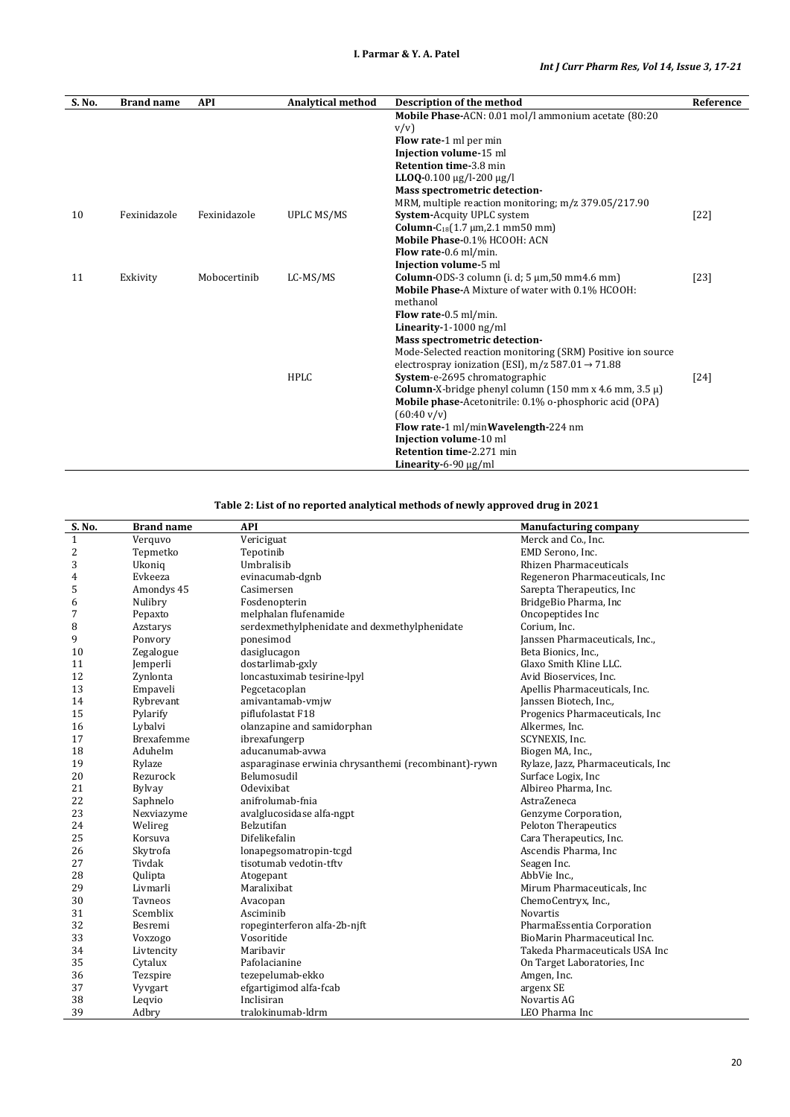| S. No. | <b>Brand name</b> | <b>API</b>   | <b>Analytical method</b> | Description of the method                                                     | Reference |
|--------|-------------------|--------------|--------------------------|-------------------------------------------------------------------------------|-----------|
|        |                   |              |                          | Mobile Phase-ACN: 0.01 mol/l ammonium acetate (80:20                          |           |
|        |                   |              |                          | v/v                                                                           |           |
|        |                   |              |                          | Flow rate-1 ml per min                                                        |           |
|        |                   |              |                          | Injection volume-15 ml                                                        |           |
|        |                   |              |                          | <b>Retention time-3.8 min</b>                                                 |           |
|        |                   |              |                          | LLOQ-0.100 $\mu$ g/l-200 $\mu$ g/l                                            |           |
|        |                   |              |                          | Mass spectrometric detection-                                                 |           |
|        |                   |              |                          | MRM, multiple reaction monitoring; m/z 379.05/217.90                          |           |
| 10     | Fexinidazole      | Fexinidazole | <b>UPLC MS/MS</b>        | System-Acquity UPLC system                                                    | $[22]$    |
|        |                   |              |                          | <b>Column-C</b> <sub>18</sub> $(1.7 \text{ µm}, 2.1 \text{ mm}50 \text{ mm})$ |           |
|        |                   |              |                          | Mobile Phase-0.1% HCOOH: ACN                                                  |           |
|        |                   |              |                          | Flow rate-0.6 ml/min.                                                         |           |
|        |                   |              |                          | Injection volume-5 ml                                                         |           |
| 11     | Exkivity          | Mobocertinib | LC-MS/MS                 | <b>Column-ODS-3</b> column (i. d; $5 \mu m$ , $50 \mu m$ 4.6 mm)              | $[23]$    |
|        |                   |              |                          | <b>Mobile Phase-A Mixture of water with 0.1% HCOOH:</b>                       |           |
|        |                   |              |                          | methanol                                                                      |           |
|        |                   |              |                          | Flow rate-0.5 ml/min.                                                         |           |
|        |                   |              |                          | Linearity-1-1000 ng/ml                                                        |           |
|        |                   |              |                          | Mass spectrometric detection-                                                 |           |
|        |                   |              |                          | Mode-Selected reaction monitoring (SRM) Positive ion source                   |           |
|        |                   |              |                          | electrospray ionization (ESI), m/z 587.01 $\rightarrow$ 71.88                 |           |
|        |                   |              | HPLC                     | System-e-2695 chromatographic                                                 | $[24]$    |
|        |                   |              |                          | <b>Column-</b> X-bridge phenyl column (150 mm x 4.6 mm, 3.5 $\mu$ )           |           |
|        |                   |              |                          | <b>Mobile phase-Acetonitrile: 0.1% o-phosphoric acid (OPA)</b>                |           |
|        |                   |              |                          | $(60:40 \text{ v/v})$                                                         |           |
|        |                   |              |                          | Flow rate-1 ml/minWavelength-224 nm                                           |           |
|        |                   |              |                          | Injection volume-10 ml                                                        |           |
|        |                   |              |                          | <b>Retention time-2.271 min</b>                                               |           |
|        |                   |              |                          | Linearity-6-90 $\mu$ g/ml                                                     |           |

**Table 2: List of no reported analytical methods of newly approved drug in 2021**

| S. No.         | <b>Brand name</b> | <b>API</b>                                           | <b>Manufacturing company</b>       |
|----------------|-------------------|------------------------------------------------------|------------------------------------|
| $\mathbf{1}$   | Verquvo           | Vericiguat                                           | Merck and Co., Inc.                |
| 2              | Tepmetko          | Tepotinib                                            | EMD Serono. Inc.                   |
| 3              | Ukoniq            | Umbralisib                                           | <b>Rhizen Pharmaceuticals</b>      |
| $\overline{4}$ | Evkeeza           | evinacumab-dgnb                                      | Regeneron Pharmaceuticals, Inc.    |
| 5              | Amondys 45        | Casimersen                                           | Sarepta Therapeutics, Inc.         |
| 6              | Nulibry           | Fosdenopterin                                        | BridgeBio Pharma, Inc              |
| 7              | Pepaxto           | melphalan flufenamide                                | Oncopeptides Inc                   |
| 8              | Azstarys          | serdexmethylphenidate and dexmethylphenidate         | Corium, Inc.                       |
| 9              | Ponvory           | ponesimod                                            | Janssen Pharmaceuticals, Inc.,     |
| 10             | Zegalogue         | dasiglucagon                                         | Beta Bionics, Inc.,                |
| 11             | Jemperli          | dostarlimab-gxly                                     | Glaxo Smith Kline LLC.             |
| 12             | Zynlonta          | loncastuximab tesirine-lpyl                          | Avid Bioservices, Inc.             |
| 13             | Empaveli          | Pegcetacoplan                                        | Apellis Pharmaceuticals, Inc.      |
| 14             | Rybrevant         | amivantamab-vmjw                                     | Janssen Biotech, Inc.,             |
| 15             | Pylarify          | piflufolastat F18                                    | Progenics Pharmaceuticals, Inc     |
| 16             | Lybalvi           | olanzapine and samidorphan                           | Alkermes, Inc.                     |
| 17             | <b>Brexafemme</b> | ibrexafungerp                                        | SCYNEXIS, Inc.                     |
| 18             | Aduhelm           | aducanumab-avwa                                      | Biogen MA, Inc.,                   |
| 19             | Rylaze            | asparaginase erwinia chrysanthemi (recombinant)-rywn | Rylaze, Jazz, Pharmaceuticals, Inc |
| 20             | Rezurock          | Belumosudil                                          | Surface Logix, Inc                 |
| 21             | <b>Bylvay</b>     | <b>Odevixibat</b>                                    | Albireo Pharma, Inc.               |
| 22             | Saphnelo          | anifrolumab-fnia                                     | AstraZeneca                        |
| 23             | Nexviazyme        | avalglucosidase alfa-ngpt                            | Genzyme Corporation,               |
| 24             | Welireg           | Belzutifan                                           | <b>Peloton Therapeutics</b>        |
| 25             | Korsuva           | Difelikefalin                                        | Cara Therapeutics, Inc.            |
| 26             | Skytrofa          | lonapegsomatropin-tcgd                               | Ascendis Pharma, Inc               |
| 27             | Tivdak            | tisotumab vedotin-tftv                               | Seagen Inc.                        |
| 28             | Qulipta           | Atogepant                                            | AbbVie Inc.,                       |
| 29             | Livmarli          | Maralixibat                                          | Mirum Pharmaceuticals, Inc.        |
| 30             | Tavneos           | Avacopan                                             | ChemoCentryx, Inc.,                |
| 31             | Scemblix          | Asciminib                                            | <b>Novartis</b>                    |
| 32             | Besremi           | ropeginterferon alfa-2b-njft                         | PharmaEssentia Corporation         |
| 33             | Voxzogo           | Vosoritide                                           | BioMarin Pharmaceutical Inc.       |
| 34             | Livtencity        | Maribavir                                            | Takeda Pharmaceuticals USA Inc     |
| 35             | Cytalux           | Pafolacianine                                        | On Target Laboratories, Inc.       |
| 36             | Tezspire          | tezepelumab-ekko                                     | Amgen, Inc.                        |
| 37             | Vyvgart           | efgartigimod alfa-fcab                               | argenx SE                          |
| 38             | Leqvio            | Inclisiran                                           | Novartis AG                        |
| 39             | Adbry             | tralokinumab-ldrm                                    | LEO Pharma Inc                     |